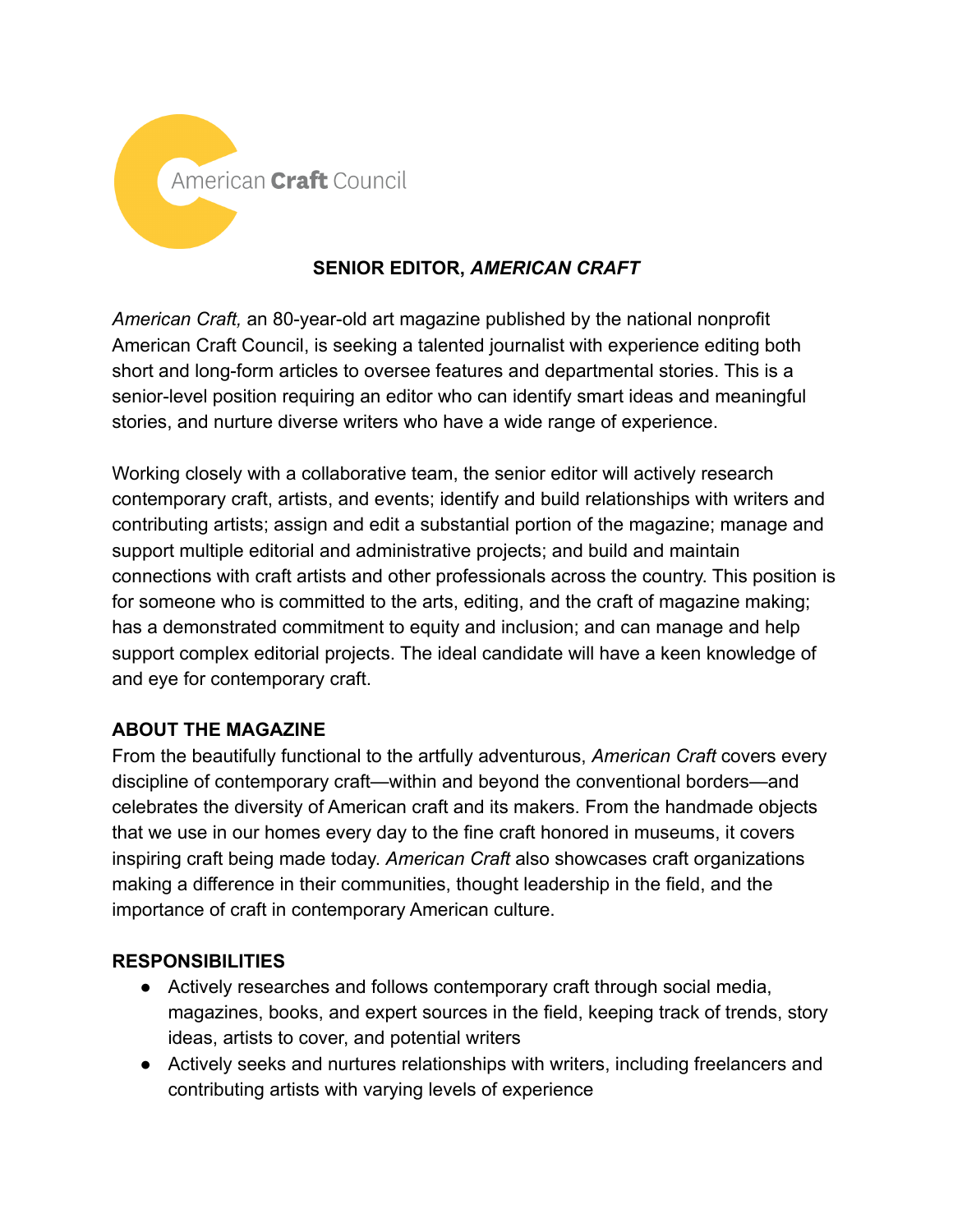

# **SENIOR EDITOR,** *AMERICAN CRAFT*

*American Craft,* an 80-year-old art magazine published by the national nonprofit American Craft Council, is seeking a talented journalist with experience editing both short and long-form articles to oversee features and departmental stories. This is a senior-level position requiring an editor who can identify smart ideas and meaningful stories, and nurture diverse writers who have a wide range of experience.

Working closely with a collaborative team, the senior editor will actively research contemporary craft, artists, and events; identify and build relationships with writers and contributing artists; assign and edit a substantial portion of the magazine; manage and support multiple editorial and administrative projects; and build and maintain connections with craft artists and other professionals across the country. This position is for someone who is committed to the arts, editing, and the craft of magazine making; has a demonstrated commitment to equity and inclusion; and can manage and help support complex editorial projects. The ideal candidate will have a keen knowledge of and eye for contemporary craft.

## **ABOUT THE MAGAZINE**

From the beautifully functional to the artfully adventurous, *American Craft* covers every discipline of contemporary craft—within and beyond the conventional borders—and celebrates the diversity of American craft and its makers. From the handmade objects that we use in our homes every day to the fine craft honored in museums, it covers inspiring craft being made today. *American Craft* also showcases craft organizations making a difference in their communities, thought leadership in the field, and the importance of craft in contemporary American culture.

## **RESPONSIBILITIES**

- Actively researches and follows contemporary craft through social media, magazines, books, and expert sources in the field, keeping track of trends, story ideas, artists to cover, and potential writers
- Actively seeks and nurtures relationships with writers, including freelancers and contributing artists with varying levels of experience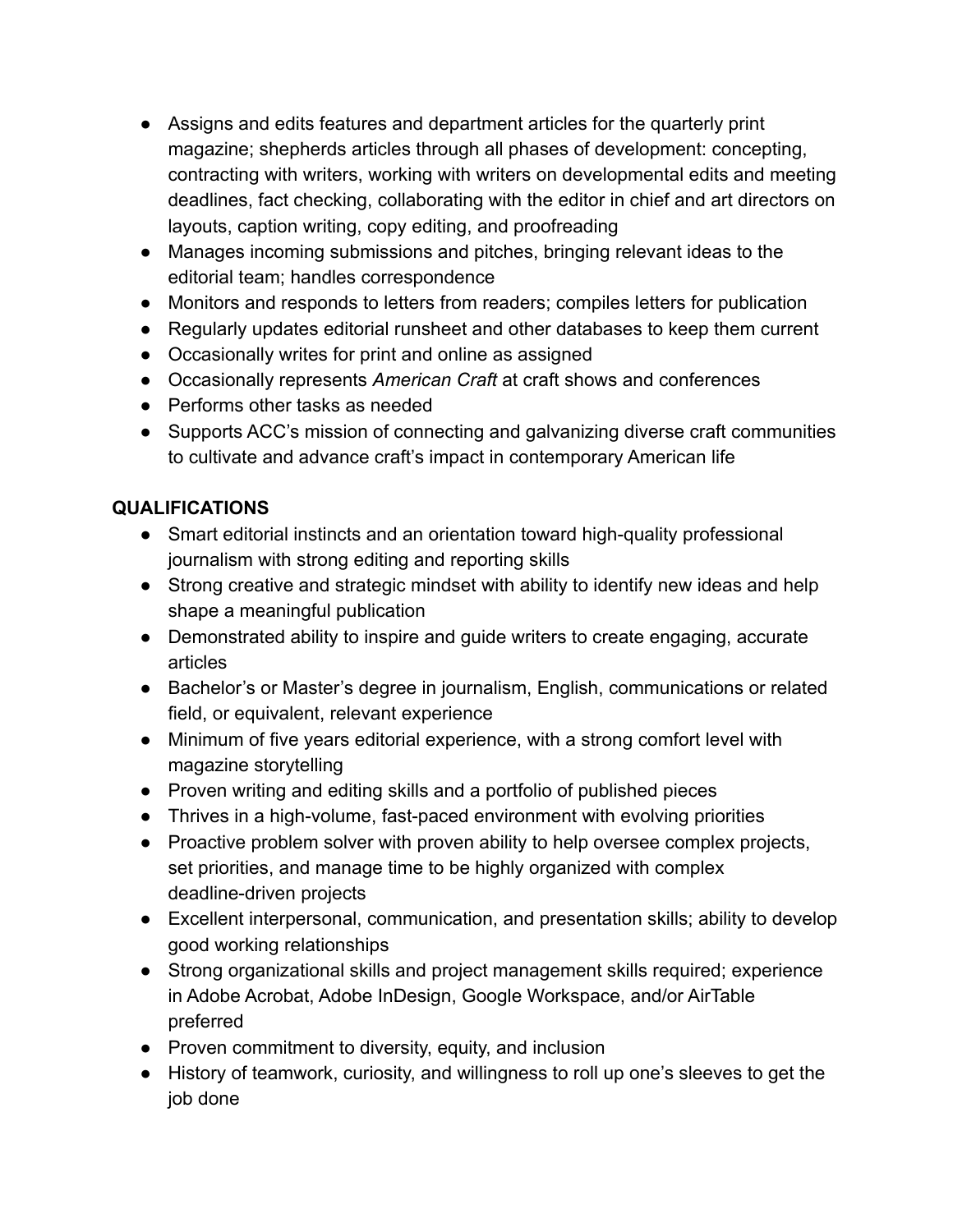- Assigns and edits features and department articles for the quarterly print magazine; shepherds articles through all phases of development: concepting, contracting with writers, working with writers on developmental edits and meeting deadlines, fact checking, collaborating with the editor in chief and art directors on layouts, caption writing, copy editing, and proofreading
- Manages incoming submissions and pitches, bringing relevant ideas to the editorial team; handles correspondence
- Monitors and responds to letters from readers; compiles letters for publication
- Regularly updates editorial runsheet and other databases to keep them current
- Occasionally writes for print and online as assigned
- Occasionally represents *American Craft* at craft shows and conferences
- Performs other tasks as needed
- Supports ACC's mission of connecting and galvanizing diverse craft communities to cultivate and advance craft's impact in contemporary American life

# **QUALIFICATIONS**

- Smart editorial instincts and an orientation toward high-quality professional journalism with strong editing and reporting skills
- Strong creative and strategic mindset with ability to identify new ideas and help shape a meaningful publication
- Demonstrated ability to inspire and guide writers to create engaging, accurate articles
- Bachelor's or Master's degree in journalism, English, communications or related field, or equivalent, relevant experience
- Minimum of five years editorial experience, with a strong comfort level with magazine storytelling
- Proven writing and editing skills and a portfolio of published pieces
- Thrives in a high-volume, fast-paced environment with evolving priorities
- Proactive problem solver with proven ability to help oversee complex projects, set priorities, and manage time to be highly organized with complex deadline-driven projects
- Excellent interpersonal, communication, and presentation skills; ability to develop good working relationships
- Strong organizational skills and project management skills required; experience in Adobe Acrobat, Adobe InDesign, Google Workspace, and/or AirTable preferred
- Proven commitment to diversity, equity, and inclusion
- History of teamwork, curiosity, and willingness to roll up one's sleeves to get the job done